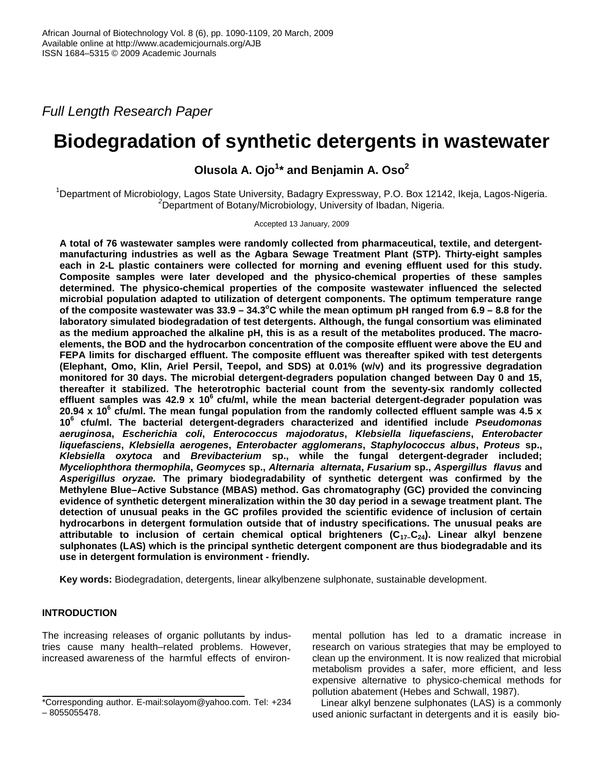*Full Length Research Paper* 

# **Biodegradation of synthetic detergents in wastewater**

**Olusola A. Ojo<sup>1</sup> \* and Benjamin A. Oso<sup>2</sup>**

<sup>1</sup>Department of Microbiology, Lagos State University, Badagry Expressway, P.O. Box 12142, Ikeja, Lagos-Nigeria. *<sup>2</sup>*Department of Botany/Microbiology, University of Ibadan, Nigeria.

Accepted 13 January, 2009

**A total of 76 wastewater samples were randomly collected from pharmaceutical, textile, and detergentmanufacturing industries as well as the Agbara Sewage Treatment Plant (STP). Thirty-eight samples each in 2-L plastic containers were collected for morning and evening effluent used for this study. Composite samples were later developed and the physico-chemical properties of these samples determined. The physico-chemical properties of the composite wastewater influenced the selected microbial population adapted to utilization of detergent components. The optimum temperature range of the composite wastewater was 33.9 – 34.3<sup>o</sup>C while the mean optimum pH ranged from 6.9 – 8.8 for the laboratory simulated biodegradation of test detergents. Although, the fungal consortium was eliminated as the medium approached the alkaline pH, this is as a result of the metabolites produced. The macroelements, the BOD and the hydrocarbon concentration of the composite effluent were above the EU and FEPA limits for discharged effluent. The composite effluent was thereafter spiked with test detergents (Elephant, Omo, Klin, Ariel Persil, Teepol, and SDS) at 0.01% (w/v) and its progressive degradation monitored for 30 days. The microbial detergent-degraders population changed between Day 0 and 15, thereafter it stabilized. The heterotrophic bacterial count from the seventy-six randomly collected effluent samples was 42.9 x 10<sup>6</sup>cfu/ml, while the mean bacterial detergent-degrader population was 20.94 x 10<sup>6</sup> cfu/ml. The mean fungal population from the randomly collected effluent sample was 4.5 x 10<sup>6</sup> cfu/ml. The bacterial detergent-degraders characterized and identified include** *Pseudomonas aeruginosa***,** *Escherichia coli***,** *Enterococcus majodoratus***,** *Klebsiella liquefasciens***,** *Enterobacter liquefasciens***,** *Klebsiella aerogenes***,** *Enterobacter agglomerans***,** *Staphylococcus albus***,** *Proteus* **sp.,** *Klebsiella oxytoca* **and** *Brevibacterium* **sp., while the fungal detergent-degrader included;** *Myceliophthora thermophila***,** *Geomyces* **sp.,** *Alternaria alternata***,** *Fusarium* **sp.,** *Aspergillus flavus* **and** *Asperigillus oryzae.* **The primary biodegradability of synthetic detergent was confirmed by the Methylene Blue–Active Substance (MBAS) method. Gas chromatography (GC) provided the convincing evidence of synthetic detergent mineralization within the 30 day period in a sewage treatment plant. The detection of unusual peaks in the GC profiles provided the scientific evidence of inclusion of certain hydrocarbons in detergent formulation outside that of industry specifications. The unusual peaks are attributable to inclusion of certain chemical optical brighteners (C17–C24). Linear alkyl benzene sulphonates (LAS) which is the principal synthetic detergent component are thus biodegradable and its use in detergent formulation is environment - friendly.** 

**Key words:** Biodegradation, detergents, linear alkylbenzene sulphonate, sustainable development.

## **INTRODUCTION**

The increasing releases of organic pollutants by industries cause many health–related problems. However, increased awareness of the harmful effects of environ-

mental pollution has led to a dramatic increase in research on various strategies that may be employed to clean up the environment. It is now realized that microbial metabolism provides a safer, more efficient, and less expensive alternative to physico-chemical methods for pollution abatement (Hebes and Schwall, 1987).

Linear alkyl benzene sulphonates (LAS) is a commonly used anionic surfactant in detergents and it is easily bio-

<sup>\*</sup>Corresponding author. E-mail:solayom@yahoo.com. Tel: +234 – 8055055478.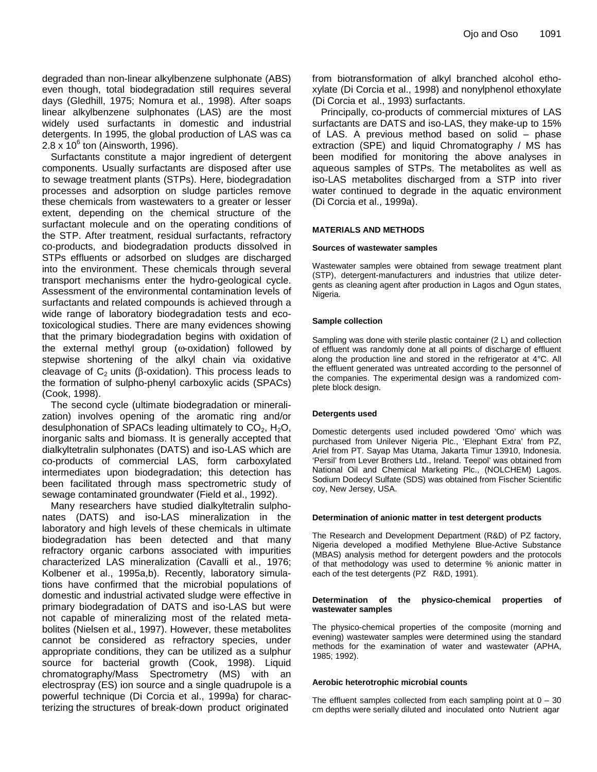degraded than non-linear alkylbenzene sulphonate (ABS) even though, total biodegradation still requires several days (Gledhill, 1975; Nomura et al., 1998). After soaps linear alkylbenzene sulphonates (LAS) are the most widely used surfactants in domestic and industrial detergents. In 1995, the global production of LAS was ca  $2.8 \times 10^6$  ton (Ainsworth, 1996).

Surfactants constitute a major ingredient of detergent components. Usually surfactants are disposed after use to sewage treatment plants (STPs). Here, biodegradation processes and adsorption on sludge particles remove these chemicals from wastewaters to a greater or lesser extent, depending on the chemical structure of the surfactant molecule and on the operating conditions of the STP. After treatment, residual surfactants, refractory co-products, and biodegradation products dissolved in STPs effluents or adsorbed on sludges are discharged into the environment. These chemicals through several transport mechanisms enter the hydro-geological cycle. Assessment of the environmental contamination levels of surfactants and related compounds is achieved through a wide range of laboratory biodegradation tests and ecotoxicological studies. There are many evidences showing that the primary biodegradation begins with oxidation of the external methyl group (ω-oxidation) followed by stepwise shortening of the alkyl chain via oxidative cleavage of  $C_2$  units (β-oxidation). This process leads to the formation of sulpho-phenyl carboxylic acids (SPACs) (Cook, 1998).

The second cycle (ultimate biodegradation or mineralization) involves opening of the aromatic ring and/or desulphonation of SPACs leading ultimately to  $CO<sub>2</sub>$ , H<sub>2</sub>O, inorganic salts and biomass. It is generally accepted that dialkyltetralin sulphonates (DATS) and iso-LAS which are co-products of commercial LAS, form carboxylated intermediates upon biodegradation; this detection has been facilitated through mass spectrometric study of sewage contaminated groundwater (Field et al., 1992).

Many researchers have studied dialkyltetralin sulphonates (DATS) and iso-LAS mineralization in the laboratory and high levels of these chemicals in ultimate biodegradation has been detected and that many refractory organic carbons associated with impurities characterized LAS mineralization (Cavalli et al., 1976; Kolbener et al., 1995a,b). Recently, laboratory simulations have confirmed that the microbial populations of domestic and industrial activated sludge were effective in primary biodegradation of DATS and iso-LAS but were not capable of mineralizing most of the related metabolites (Nielsen et al., 1997). However, these metabolites cannot be considered as refractory species, under appropriate conditions, they can be utilized as a sulphur source for bacterial growth (Cook, 1998). Liquid chromatography/Mass Spectrometry (MS) with an electrospray (ES) ion source and a single quadrupole is a powerful technique (Di Corcia et al., 1999a) for characterizing the structures of break-down product originated

from biotransformation of alkyl branched alcohol ethoxylate (Di Corcia et al., 1998) and nonylphenol ethoxylate (Di Corcia et al., 1993) surfactants.

Principally, co-products of commercial mixtures of LAS surfactants are DATS and iso-LAS, they make-up to 15% of LAS. A previous method based on solid – phase extraction (SPE) and liquid Chromatography / MS has been modified for monitoring the above analyses in aqueous samples of STPs. The metabolites as well as iso-LAS metabolites discharged from a STP into river water continued to degrade in the aquatic environment (Di Corcia et al., 1999a).

#### **MATERIALS AND METHODS**

#### **Sources of wastewater samples**

Wastewater samples were obtained from sewage treatment plant (STP), detergent-manufacturers and industries that utilize detergents as cleaning agent after production in Lagos and Ogun states, Nigeria.

#### **Sample collection**

Sampling was done with sterile plastic container (2 L) and collection of effluent was randomly done at all points of discharge of effluent along the production line and stored in the refrigerator at 4°C. All the effluent generated was untreated according to the personnel of the companies. The experimental design was a randomized complete block design.

#### **Detergents used**

Domestic detergents used included powdered 'Omo' which was purchased from Unilever Nigeria Plc., 'Elephant Extra' from PZ, Ariel from PT. Sayap Mas Utama, Jakarta Timur 13910, Indonesia. 'Persil' from Lever Brothers Ltd., Ireland. Teepol' was obtained from National Oil and Chemical Marketing Plc., (NOLCHEM) Lagos. Sodium Dodecyl Sulfate (SDS) was obtained from Fischer Scientific coy, New Jersey, USA.

#### **Determination of anionic matter in test detergent products**

The Research and Development Department (R&D) of PZ factory, Nigeria developed a modified Methylene Blue-Active Substance (MBAS) analysis method for detergent powders and the protocols of that methodology was used to determine % anionic matter in each of the test detergents (PZ R&D, 1991).

#### **Determination of the physico-chemical properties of wastewater samples**

The physico-chemical properties of the composite (morning and evening) wastewater samples were determined using the standard methods for the examination of water and wastewater (APHA, 1985; 1992).

#### **Aerobic heterotrophic microbial counts**

The effluent samples collected from each sampling point at  $0 - 30$ cm depths were serially diluted and inoculated onto Nutrient agar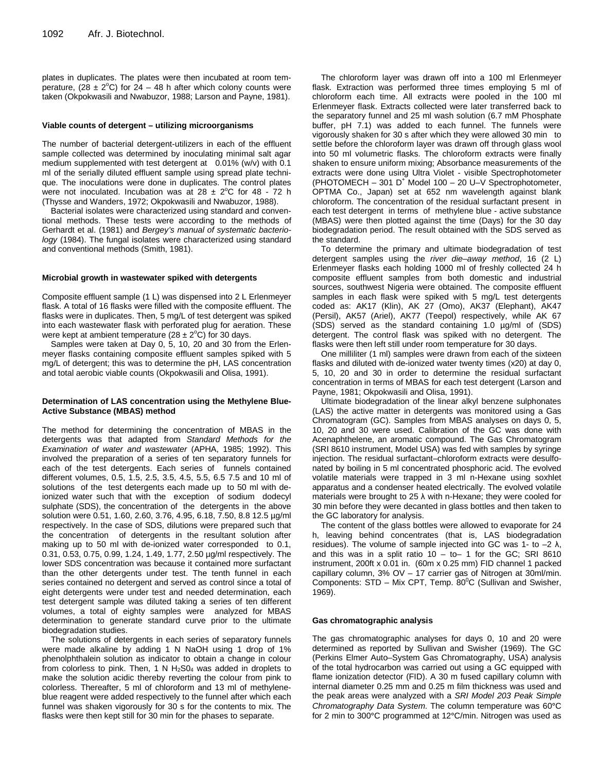plates in duplicates. The plates were then incubated at room temperature, (28  $\pm$  2°C) for 24 – 48 h after which colony counts were taken (Okpokwasili and Nwabuzor, 1988; Larson and Payne, 1981).

#### **Viable counts of detergent – utilizing microorganisms**

The number of bacterial detergent-utilizers in each of the effluent sample collected was determined by inoculating minimal salt agar medium supplemented with test detergent at 0.01% (w/v) with 0.1 ml of the serially diluted effluent sample using spread plate technique. The inoculations were done in duplicates. The control plates were not inoculated. Incubation was at  $28 \pm 2^{\circ}$ C for 48 - 72 h (Thysse and Wanders, 1972; Okpokwasili and Nwabuzor, 1988).

Bacterial isolates were characterized using standard and conventional methods. These tests were according to the methods of Gerhardt et al. (1981) and *Bergey's manual of systematic bacteriology* (1984). The fungal isolates were characterized using standard and conventional methods (Smith, 1981).

#### **Microbial growth in wastewater spiked with detergents**

Composite effluent sample (1 L) was dispensed into 2 L Erlenmeyer flask. A total of 16 flasks were filled with the composite effluent. The flasks were in duplicates. Then, 5 mg/L of test detergent was spiked into each wastewater flask with perforated plug for aeration. These were kept at ambient temperature ( $28 \pm 2^{\circ}$ C) for 30 days.

Samples were taken at Day 0, 5, 10, 20 and 30 from the Erlenmeyer flasks containing composite effluent samples spiked with 5 mg/L of detergent; this was to determine the pH, LAS concentration and total aerobic viable counts (Okpokwasili and Olisa, 1991).

#### **Determination of LAS concentration using the Methylene Blue-Active Substance (MBAS) method**

The method for determining the concentration of MBAS in the detergents was that adapted from *Standard Methods for the Examination of water and wastewater* (APHA, 1985; 1992). This involved the preparation of a series of ten separatory funnels for each of the test detergents. Each series of funnels contained different volumes, 0.5, 1.5, 2.5, 3.5, 4.5, 5.5, 6.5 7.5 and 10 ml of solutions of the test detergents each made up to 50 ml with deionized water such that with the exception of sodium dodecyl sulphate (SDS), the concentration of the detergents in the above solution were 0.51, 1.60, 2.60, 3.76, 4.95, 6.18, 7.50, 8.8 12.5 µg/ml respectively. In the case of SDS, dilutions were prepared such that the concentration of detergents in the resultant solution after making up to 50 ml with de-ionized water corresponded to 0.1, 0.31, 0.53, 0.75, 0.99, 1.24, 1.49, 1.77, 2.50 µg/ml respectively. The lower SDS concentration was because it contained more surfactant than the other detergents under test. The tenth funnel in each series contained no detergent and served as control since a total of eight detergents were under test and needed determination, each test detergent sample was diluted taking a series of ten different volumes, a total of eighty samples were analyzed for MBAS determination to generate standard curve prior to the ultimate biodegradation studies.

The solutions of detergents in each series of separatory funnels were made alkaline by adding 1 N NaOH using 1 drop of 1% phenolphthalein solution as indicator to obtain a change in colour from colorless to pink. Then, 1 N  $H<sub>2</sub>SO<sub>4</sub>$  was added in droplets to make the solution acidic thereby reverting the colour from pink to colorless. Thereafter, 5 ml of chloroform and 13 ml of methyleneblue reagent were added respectively to the funnel after which each funnel was shaken vigorously for 30 s for the contents to mix. The flasks were then kept still for 30 min for the phases to separate.

The chloroform layer was drawn off into a 100 ml Erlenmeyer flask. Extraction was performed three times employing 5 ml of chloroform each time. All extracts were pooled in the 100 ml Erlenmeyer flask. Extracts collected were later transferred back to the separatory funnel and 25 ml wash solution (6.7 mM Phosphate buffer, pH 7.1) was added to each funnel. The funnels were vigorously shaken for 30 s after which they were allowed 30 min to settle before the chloroform layer was drawn off through glass wool into 50 ml volumetric flasks. The chloroform extracts were finally shaken to ensure uniform mixing; Absorbance measurements of the extracts were done using Ultra Violet - visible Spectrophotometer (PHOTOMECH - 301 D<sup>+</sup> Model 100 - 20 U-V Spectrophotometer, OPTMA Co., Japan) set at 652 nm wavelength against blank chloroform. The concentration of the residual surfactant present in each test detergent in terms of methylene blue - active substance (MBAS) were then plotted against the time (Days) for the 30 day biodegradation period. The result obtained with the SDS served as the standard.

To determine the primary and ultimate biodegradation of test detergent samples using the *river die–away method*, 16 (2 L) Erlenmeyer flasks each holding 1000 ml of freshly collected 24 h composite effluent samples from both domestic and industrial sources, southwest Nigeria were obtained. The composite effluent samples in each flask were spiked with 5 mg/L test detergents coded as: AK17 (Klin), AK 27 (Omo), AK37 (Elephant), AK47 (Persil), AK57 (Ariel), AK77 (Teepol) respectively, while AK 67 (SDS) served as the standard containing 1.0 µg/ml of (SDS) detergent. The control flask was spiked with no detergent. The flasks were then left still under room temperature for 30 days.

One milliliter (1 ml) samples were drawn from each of the sixteen flasks and diluted with de-ionized water twenty times (x20) at day 0, 5, 10, 20 and 30 in order to determine the residual surfactant concentration in terms of MBAS for each test detergent (Larson and Payne, 1981; Okpokwasili and Olisa, 1991).

Ultimate biodegradation of the linear alkyl benzene sulphonates (LAS) the active matter in detergents was monitored using a Gas Chromatogram (GC). Samples from MBAS analyses on days 0, 5, 10, 20 and 30 were used. Calibration of the GC was done with Acenaphthelene, an aromatic compound. The Gas Chromatogram (SRI 8610 instrument, Model USA) was fed with samples by syringe injection. The residual surfactant–chloroform extracts were desulfonated by boiling in 5 ml concentrated phosphoric acid. The evolved volatile materials were trapped in 3 ml n-Hexane using soxhlet apparatus and a condenser heated electrically. The evolved volatile materials were brought to 25  $\lambda$  with n-Hexane; they were cooled for 30 min before they were decanted in glass bottles and then taken to the GC laboratory for analysis.

The content of the glass bottles were allowed to evaporate for 24 h, leaving behind concentrates (that is, LAS biodegradation residues). The volume of sample injected into GC was 1- to  $-2 \lambda$ , and this was in a split ratio  $10 - 1$  for the GC; SRI 8610 instrument, 200ft x 0.01 in. (60m x 0.25 mm) FID channel 1 packed capillary column, 3% OV – 17 carrier gas of Nitrogen at 30ml/min. Components:  $STD - Mix CPT$ , Temp. 80 $^0C$  (Sullivan and Swisher, 1969).

#### **Gas chromatographic analysis**

The gas chromatographic analyses for days 0, 10 and 20 were determined as reported by Sullivan and Swisher (1969). The GC (Perkins Elmer Auto–System Gas Chromatography, USA) analysis of the total hydrocarbon was carried out using a GC equipped with flame ionization detector (FID). A 30 m fused capillary column with internal diameter 0.25 mm and 0.25 m film thickness was used and the peak areas were analyzed with a *SRI Model 203 Peak Simple Chromatography Data System*. The column temperature was 60°C for 2 min to 300°C programmed at 12°C/min. Nitrogen was used as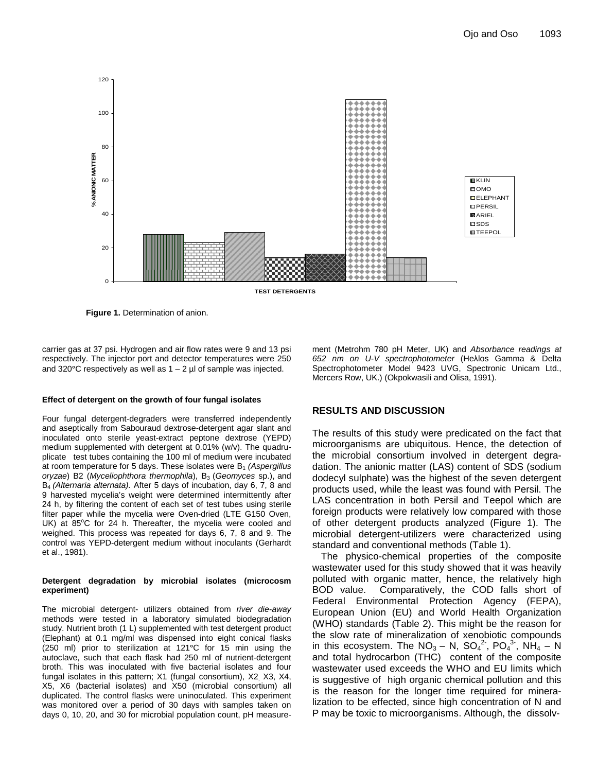

**Figure 1.** Determination of anion.

carrier gas at 37 psi. Hydrogen and air flow rates were 9 and 13 psi respectively. The injector port and detector temperatures were 250 and 320 $^{\circ}$ C respectively as well as  $1 - 2$  µl of sample was injected.

#### **Effect of detergent on the growth of four fungal isolates**

Four fungal detergent-degraders were transferred independently and aseptically from Sabouraud dextrose-detergent agar slant and inoculated onto sterile yeast-extract peptone dextrose (YEPD) medium supplemented with detergent at 0.01% (w/v). The quadruplicate test tubes containing the 100 ml of medium were incubated at room temperature for 5 days. These isolates were B<sub>1</sub> (Aspergillus *oryzae*) B2 (*Myceliophthora thermophila*), B<sub>3</sub> (*Geomyces sp.*), and B4 *(Alternaria alternata).* After 5 days of incubation, day 6, 7, 8 and 9 harvested mycelia's weight were determined intermittently after 24 h, by filtering the content of each set of test tubes using sterile filter paper while the mycelia were Oven-dried (LTE G150 Oven, UK) at  $85^{\circ}$ C for 24 h. Thereafter, the mycelia were cooled and weighed. This process was repeated for days 6, 7, 8 and 9. The control was YEPD-detergent medium without inoculants (Gerhardt et al., 1981).

#### **Detergent degradation by microbial isolates (microcosm experiment)**

The microbial detergent- utilizers obtained from *river die-away*  methods were tested in a laboratory simulated biodegradation study. Nutrient broth (1 L) supplemented with test detergent product (Elephant) at 0.1 mg/ml was dispensed into eight conical flasks (250 ml) prior to sterilization at 121°C for 15 min using the autoclave, such that each flask had 250 ml of nutrient-detergent broth. This was inoculated with five bacterial isolates and four fungal isolates in this pattern; X1 (fungal consortium), X2, X3, X4, X5, X6 (bacterial isolates) and X50 (microbial consortium) all duplicated. The control flasks were uninoculated. This experiment was monitored over a period of 30 days with samples taken on days 0, 10, 20, and 30 for microbial population count, pH measurement (Metrohm 780 pH Meter, UK) and *Absorbance readings at*  652 nm on U-V spectrophotometer (Heλlos Gamma & Delta Spectrophotometer Model 9423 UVG, Spectronic Unicam Ltd., Mercers Row, UK.) (Okpokwasili and Olisa, 1991).

### **RESULTS AND DISCUSSION**

The results of this study were predicated on the fact that microorganisms are ubiquitous. Hence, the detection of the microbial consortium involved in detergent degradation. The anionic matter (LAS) content of SDS (sodium dodecyl sulphate) was the highest of the seven detergent products used, while the least was found with Persil. The LAS concentration in both Persil and Teepol which are foreign products were relatively low compared with those of other detergent products analyzed (Figure 1). The microbial detergent-utilizers were characterized using standard and conventional methods (Table 1).

The physico-chemical properties of the composite wastewater used for this study showed that it was heavily polluted with organic matter, hence, the relatively high BOD value. Comparatively, the COD falls short of Federal Environmental Protection Agency (FEPA), European Union (EU) and World Health Organization (WHO) standards (Table 2). This might be the reason for the slow rate of mineralization of xenobiotic compounds in this ecosystem. The  $NO_3 - N$ ,  $SO_4^2$ ,  $PO_4^3$ ,  $NH_4 - N$ and total hydrocarbon (THC) content of the composite wastewater used exceeds the WHO and EU limits which is suggestive of high organic chemical pollution and this is the reason for the longer time required for mineralization to be effected, since high concentration of N and P may be toxic to microorganisms. Although, the dissolv-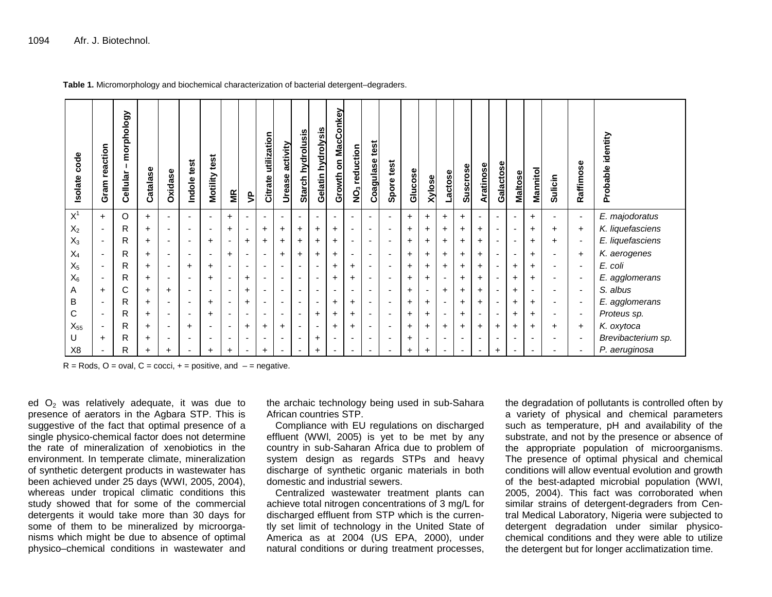| code<br>Isolate | reaction<br>Gram         | morphology<br>Cellular | Catalase  | <b>Oxidase</b>           | test<br>Indole           | test<br>Motility         | MR        | $\tilde{\mathbf{z}}$     | utilization<br>Citrate   | activity<br><b>Urease</b> | hydrolusis<br><b>Starch</b> | Gelatin hydrolysis       | on MacConkey<br>Growth   | NO <sub>3</sub> reduction | test<br>Coagulase        | test<br>Spore            | Glucose   | <b>Xylose</b> | actose         | <b>Suscrose</b>          | Aratinose                | Galactose                | Maltose                  | Mannitol  | Sulicin                  | Raffimose                | identity<br>Probable |
|-----------------|--------------------------|------------------------|-----------|--------------------------|--------------------------|--------------------------|-----------|--------------------------|--------------------------|---------------------------|-----------------------------|--------------------------|--------------------------|---------------------------|--------------------------|--------------------------|-----------|---------------|----------------|--------------------------|--------------------------|--------------------------|--------------------------|-----------|--------------------------|--------------------------|----------------------|
| $X^1$           | $+$                      | O                      | $+$       | $\overline{\phantom{a}}$ | $\blacksquare$           |                          | $\ddot{}$ |                          | ٠                        | $\overline{\phantom{a}}$  | $\overline{\phantom{a}}$    | $\overline{\phantom{a}}$ | $\overline{\phantom{a}}$ | $\overline{\phantom{a}}$  | $\overline{\phantom{a}}$ | $\overline{\phantom{a}}$ | $\pm$     | $\ddot{}$     | +              | $+$                      | $\overline{\phantom{a}}$ | $\overline{\phantom{a}}$ | $\overline{\phantom{a}}$ | +         | $\overline{\phantom{a}}$ | $\overline{\phantom{a}}$ | E. majodoratus       |
| $X_2$           | $\overline{\phantom{a}}$ | R                      | +         |                          | $\overline{\phantom{0}}$ | $\overline{\phantom{0}}$ | +         | ٠                        | $\ddot{}$                | $\ddot{}$                 | $\ddot{}$                   | $\ddot{}$                | +                        | $\overline{\phantom{a}}$  |                          | $\overline{\phantom{a}}$ | $\ddot{}$ | $\ddot{}$     | +              | +                        | $\ddot{}$                | ۰                        |                          | +         | $\ddot{}$                | $\ddot{}$                | K. liquefasciens     |
| $X_3$           | $\overline{\phantom{a}}$ | R                      | $\ddot{}$ | $\overline{\phantom{a}}$ | $\blacksquare$           | $\div$                   |           | $+$                      | $\ddot{}$                | $\ddot{}$                 | $\ddot{}$                   | $\ddot{}$                | ÷                        | $\overline{\phantom{a}}$  | $\overline{\phantom{a}}$ | $\overline{\phantom{a}}$ | $\ddot{}$ | $\ddot{}$     | $\ddot{}$      | $\ddot{}$                | $\ddot{}$                | $\overline{\phantom{a}}$ | $\overline{\phantom{a}}$ | $\ddot{}$ | $\ddot{}$                | $\overline{\phantom{a}}$ | E. liquefasciens     |
| $X_4$           | $\sim$                   | R                      | $\ddot{}$ | $\overline{\phantom{a}}$ | $\blacksquare$           | ٠                        | $\ddot{}$ | $\overline{\phantom{a}}$ | $\blacksquare$           | $\ddot{}$                 | $\ddot{}$                   | $\ddot{}$                | +                        | $\overline{\phantom{a}}$  | $\overline{\phantom{a}}$ | $\overline{\phantom{a}}$ | $\ddot{}$ | $\ddot{}$     | +              | $\ddot{}$                | $+$                      | ۰                        |                          | $\pm$     | $\overline{\phantom{a}}$ | $\ddot{}$                | K. aerogenes         |
| $X_5$           | $\sim$                   | R                      | +         |                          | $\ddot{}$                | ٠                        |           |                          | $\overline{\phantom{0}}$ | $\overline{\phantom{a}}$  | $\overline{\phantom{0}}$    | $\overline{\phantom{a}}$ | +                        | +                         | $\overline{\phantom{a}}$ | $\overline{\phantom{a}}$ | $\ddot{}$ | $\ddot{}$     | +              | $\ddot{}$                | $\ddot{}$                | ۰                        | $\ddot{}$                | +         | $\overline{\phantom{a}}$ | $\overline{\phantom{a}}$ | E. coli              |
| $X_6$           | $\sim$                   | R                      | $+$       | $\overline{\phantom{a}}$ | $\blacksquare$           | $\ddot{}$                |           | $+$                      | $\blacksquare$           | $\overline{\phantom{a}}$  | $\overline{\phantom{a}}$    | $\overline{\phantom{a}}$ | $\ddot{}$                | $\ddot{}$                 | $\overline{\phantom{a}}$ | $\blacksquare$           | $\ddot{}$ | $\ddot{}$     | $\blacksquare$ | $\ddot{}$                | $\ddot{}$                | $\overline{\phantom{a}}$ | $\ddot{}$                | $\ddot{}$ | $\overline{\phantom{a}}$ | $\overline{\phantom{a}}$ | E. agglomerans       |
| A               | $\ddot{}$                | С                      | +         | $\ddot{}$                | $\blacksquare$           |                          |           | $\ddot{}$                | $\overline{\phantom{0}}$ | $\overline{\phantom{a}}$  |                             |                          |                          |                           |                          |                          | +         |               | $\ddot{}$      | $\ddot{}$                | $\ddot{}$                |                          | $\ddot{}$                |           | $\overline{\phantom{a}}$ |                          | S. albus             |
| B               | $\sim$                   | R                      | $\ddot{}$ | $\overline{\phantom{a}}$ | $\blacksquare$           | $\ddot{}$                |           | $\ddot{}$                | $\overline{\phantom{0}}$ | $\overline{\phantom{a}}$  | $\overline{\phantom{0}}$    | $\overline{\phantom{a}}$ | +                        | $\ddot{}$                 | ٠                        | $\overline{\phantom{0}}$ | +         | +             |                | $\ddot{}$                | $\ddot{}$                |                          | $\ddot{}$                | $\ddot{}$ | $\overline{\phantom{0}}$ | $\overline{\phantom{a}}$ | E. agglomerans       |
| C               | $\sim$                   | R                      | $\ddot{}$ | $\overline{\phantom{a}}$ | $\overline{\phantom{0}}$ | ٠                        |           |                          | $\overline{\phantom{0}}$ | $\overline{\phantom{a}}$  | $\overline{\phantom{a}}$    | $\pm$                    | +                        | $\ddot{}$                 | $\overline{\phantom{a}}$ | ٠                        | $\ddot{}$ | $\ddot{}$     |                | $\ddot{}$                | $\overline{\phantom{a}}$ | ۰                        | $\ddot{}$                | +         | $\overline{\phantom{a}}$ | $\overline{\phantom{a}}$ | Proteus sp.          |
| $X_{55}$        | $\sim$                   | R                      | $\ddot{}$ | $\overline{\phantom{a}}$ | $\pm$                    | $\overline{\phantom{a}}$ | ٠         | $\ddot{}$                | $\ddot{}$                | $\ddot{}$                 | ۰                           | $\overline{\phantom{a}}$ | +                        | $\ddot{}$                 | $\overline{\phantom{a}}$ | $\blacksquare$           | $\ddot{}$ | $\ddot{}$     | $\ddot{}$      | $\ddot{}$                | $+$                      | $\ddot{}$                | $\ddot{}$                | +         | $\ddot{}$                | $\ddot{}$                | K. oxytoca           |
| U               | $\ddot{}$                | R                      | +         |                          | ٠                        |                          |           |                          | $\overline{\phantom{0}}$ | $\overline{\phantom{a}}$  | $\overline{\phantom{0}}$    | $\ddot{}$                |                          |                           |                          | $\overline{\phantom{0}}$ | +         |               |                | $\overline{\phantom{0}}$ | $\overline{\phantom{a}}$ | $\overline{\phantom{0}}$ | ٠                        |           | ۰                        |                          | Brevibacterium sp.   |
| X <sub>8</sub>  |                          | R                      | $\ddot{}$ | $\ddot{}$                |                          | $\ddot{}$                | $\ddot{}$ | ٠                        | $\ddot{}$                | $\overline{\phantom{a}}$  | ٠                           | $\ddot{}$                |                          |                           |                          | $\overline{\phantom{a}}$ | $\ddot{}$ | $\ddot{}$     |                | $\overline{\phantom{a}}$ | $\overline{\phantom{a}}$ | +                        |                          |           |                          |                          | P. aeruginosa        |

**Table 1.** Micromorphology and biochemical characterization of bacterial detergent–degraders.

 $R = R$ ods, O = oval, C = cocci,  $+$  = positive, and  $-$  = negative.

ed  $O<sub>2</sub>$  was relatively adequate, it was due to presence of aerators in the Agbara STP. This is suggestive of the fact that optimal presence of a single physico-chemical factor does not determine the rate of mineralization of xenobiotics in the environment. In temperate climate, mineralization of synthetic detergent products in wastewater has been achieved under 25 days (WWI, 2005, 2004), whereas under tropical climatic conditions this study showed that for some of the commercial detergents it would take more than 30 days for some of them to be mineralized by microorganisms which might be due to absence of optimal physico–chemical conditions in wastewater and the archaic technology being used in sub-Sahara African countries STP.

Compliance with EU regulations on discharged effluent (WWl, 2005) is yet to be met by any country in sub-Saharan Africa due to problem of system design as regards STPs and heavy discharge of synthetic organic materials in both domestic and industrial sewers.

Centralized wastewater treatment plants can achieve total nitrogen concentrations of 3 mg/L for discharged effluent from STP which is the currently set limit of technology in the United State of America as at 2004 (US EPA, 2000), under natural conditions or during treatment processes,

the degradation of pollutants is controlled often by a variety of physical and chemical parameters such as temperature, pH and availability of the substrate, and not by the presence or absence of the appropriate population of microorganisms. The presence of optimal physical and chemical conditions will allow eventual evolution and growth of the best-adapted microbial population (WWI, 2005, 2004). This fact was corroborated when similar strains of detergent-degraders from Central Medical Laboratory, Nigeria were subjected to detergent degradation under similar physicochemical conditions and they were able to utilize the detergent but for longer acclimatization time.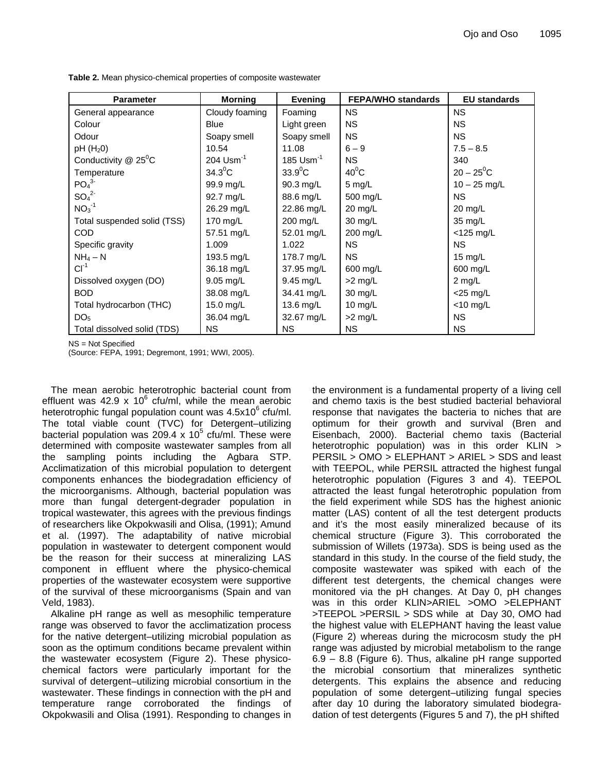| <b>Parameter</b>                   | <b>Morning</b>   | <b>Evening</b>         | <b>FEPA/WHO standards</b> | <b>EU standards</b> |
|------------------------------------|------------------|------------------------|---------------------------|---------------------|
| General appearance                 | Cloudy foaming   | Foaming                | <b>NS</b>                 | <b>NS</b>           |
| Colour                             | <b>Blue</b>      | Light green            | <b>NS</b>                 | <b>NS</b>           |
| Odour                              | Soapy smell      | Soapy smell            | <b>NS</b>                 | <b>NS</b>           |
| $pH(H_20)$                         | 10.54            | 11.08                  | $6 - 9$                   | $7.5 - 8.5$         |
| Conductivity $@$ 25 <sup>°</sup> C | 204 $Usm^{-1}$   | $185 \text{ Usm}^{-1}$ | <b>NS</b>                 | 340                 |
| Temperature                        | $34.3^{\circ}$ C | $33.9^{\circ}$ C       | $40^0$ C                  | $20 - 25^0C$        |
| PO <sub>4</sub> <sup>3</sup>       | 99.9 mg/L        | 90.3 mg/L              | $5$ mg/L                  | $10 - 25$ mg/L      |
| SO <sub>4</sub> <sup>2</sup>       | 92.7 mg/L        | 88.6 mg/L              | 500 mg/L                  | <b>NS</b>           |
| $NO3-1$                            | 26.29 mg/L       | 22.86 mg/L             | 20 mg/L                   | $20 \text{ mg/L}$   |
| Total suspended solid (TSS)        | 170 mg/L         | 200 mg/L               | 30 mg/L                   | 35 mg/L             |
| <b>COD</b>                         | 57.51 mg/L       | 52.01 mg/L             | 200 mg/L                  | $<$ 125 mg/L        |
| Specific gravity                   | 1.009            | 1.022                  | <b>NS</b>                 | <b>NS</b>           |
| $NH_4-N$                           | 193.5 mg/L       | 178.7 mg/L             | NS.                       | 15 $mg/L$           |
| $CI^{-1}$                          | 36.18 mg/L       | 37.95 mg/L             | 600 mg/L                  | 600 mg/L            |
| Dissolved oxygen (DO)              | 9.05 mg/L        | $9.45$ mg/L            | $>2$ mg/L                 | 2 mg/L              |
| <b>BOD</b>                         | 38.08 mg/L       | 34.41 mg/L             | $30 \text{ mg/L}$         | $<$ 25 mg/L         |
| Total hydrocarbon (THC)            | 15.0 mg/L        | 13.6 mg/L              | 10 $mg/L$                 | $<$ 10 mg/L         |
| DO <sub>5</sub>                    | 36.04 mg/L       | 32.67 mg/L             | $>2$ mg/L                 | <b>NS</b>           |
| Total dissolved solid (TDS)        | NS.              | <b>NS</b>              | <b>NS</b>                 | <b>NS</b>           |

**Table 2.** Mean physico-chemical properties of composite wastewater

NS = Not Specified

(Source: FEPA, 1991; Degremont, 1991; WWI, 2005).

The mean aerobic heterotrophic bacterial count from effluent was 42.9 x 10 $^6$  cfu/ml, while the mean aerobic heterotrophic fungal population count was  $4.5x10^6$  cfu/ml. The total viable count (TVC) for Detergent–utilizing bacterial population was 209.4  $\times$  10<sup>5</sup> cfu/ml. These were determined with composite wastewater samples from all the sampling points including the Agbara STP. Acclimatization of this microbial population to detergent components enhances the biodegradation efficiency of the microorganisms. Although, bacterial population was more than fungal detergent-degrader population in tropical wastewater, this agrees with the previous findings of researchers like Okpokwasili and Olisa, (1991); Amund et al. (1997). The adaptability of native microbial population in wastewater to detergent component would be the reason for their success at mineralizing LAS component in effluent where the physico-chemical properties of the wastewater ecosystem were supportive of the survival of these microorganisms (Spain and van Veld, 1983).

Alkaline pH range as well as mesophilic temperature range was observed to favor the acclimatization process for the native detergent–utilizing microbial population as soon as the optimum conditions became prevalent within the wastewater ecosystem (Figure 2). These physicochemical factors were particularly important for the survival of detergent–utilizing microbial consortium in the wastewater. These findings in connection with the pH and temperature range corroborated the findings of Okpokwasili and Olisa (1991). Responding to changes in

the environment is a fundamental property of a living cell and chemo taxis is the best studied bacterial behavioral response that navigates the bacteria to niches that are optimum for their growth and survival (Bren and Eisenbach, 2000). Bacterial chemo taxis (Bacterial heterotrophic population) was in this order KLIN > PERSIL > OMO > ELEPHANT > ARIEL > SDS and least with TEEPOL, while PERSIL attracted the highest fungal heterotrophic population (Figures 3 and 4). TEEPOL attracted the least fungal heterotrophic population from the field experiment while SDS has the highest anionic matter (LAS) content of all the test detergent products and it's the most easily mineralized because of its chemical structure (Figure 3). This corroborated the submission of Willets (1973a). SDS is being used as the standard in this study. In the course of the field study, the composite wastewater was spiked with each of the different test detergents, the chemical changes were monitored via the pH changes. At Day 0, pH changes was in this order KLIN>ARIEL >OMO >ELEPHANT >TEEPOL >PERSIL > SDS while at Day 30, OMO had the highest value with ELEPHANT having the least value (Figure 2) whereas during the microcosm study the pH range was adjusted by microbial metabolism to the range 6.9 – 8.8 (Figure 6). Thus, alkaline pH range supported the microbial consortium that mineralizes synthetic detergents. This explains the absence and reducing population of some detergent–utilizing fungal species after day 10 during the laboratory simulated biodegradation of test detergents (Figures 5 and 7), the pH shifted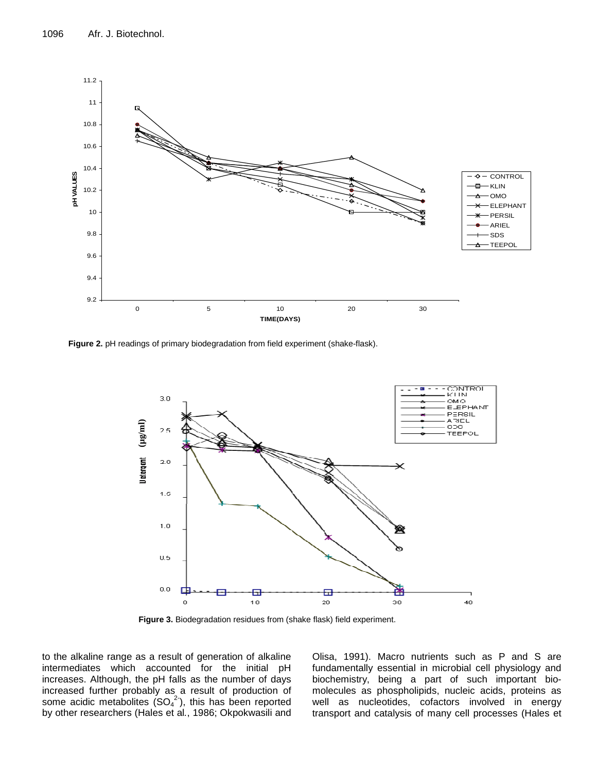

**Figure 2.** pH readings of primary biodegradation from field experiment (shake-flask).



**Figure 3.** Biodegradation residues from (shake flask) field experiment.

to the alkaline range as a result of generation of alkaline intermediates which accounted for the initial pH increases. Although, the pH falls as the number of days increased further probably as a result of production of some acidic metabolites  $(SO<sub>4</sub><sup>2</sup>)$ , this has been reported by other researchers (Hales et al*.*, 1986; Okpokwasili and

Olisa, 1991). Macro nutrients such as P and S are fundamentally essential in microbial cell physiology and biochemistry, being a part of such important biomolecules as phospholipids, nucleic acids, proteins as well as nucleotides, cofactors involved in energy transport and catalysis of many cell processes (Hales et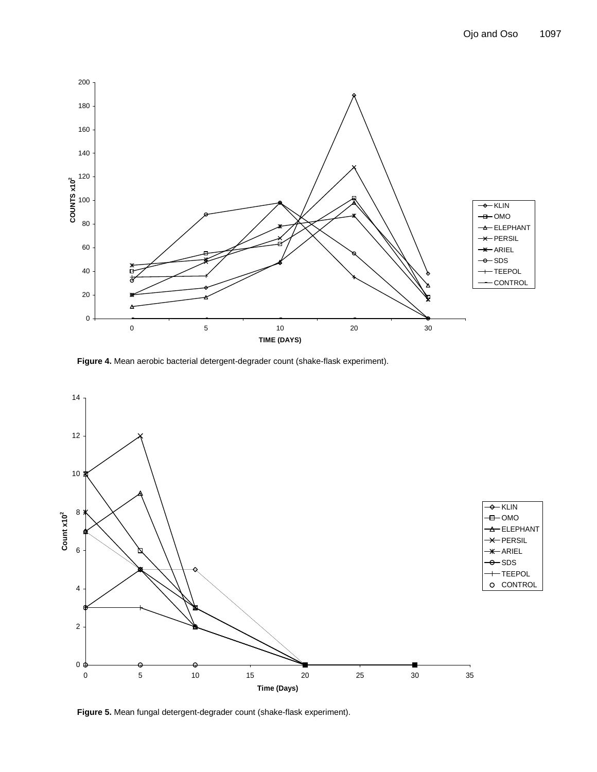

**Figure 4.** Mean aerobic bacterial detergent-degrader count (shake-flask experiment).



**Figure 5.** Mean fungal detergent-degrader count (shake-flask experiment).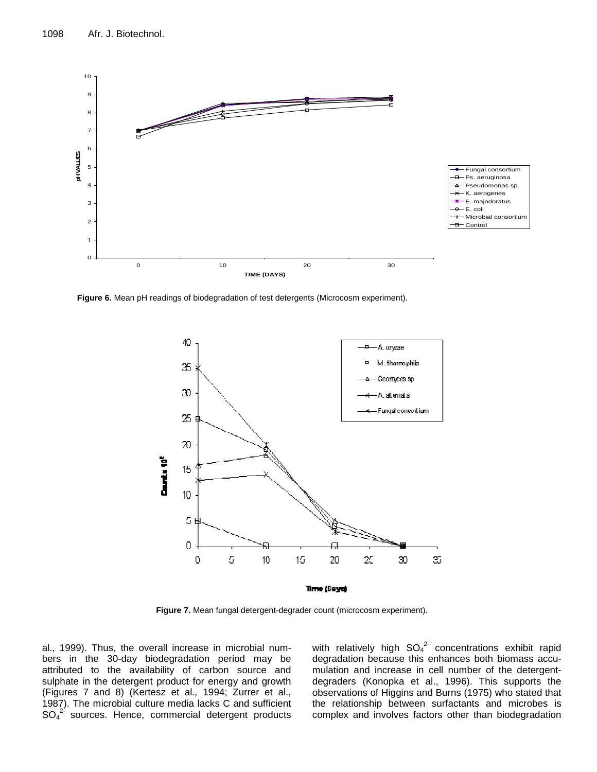

**Figure 6.** Mean pH readings of biodegradation of test detergents (Microcosm experiment).



**Figure 7.** Mean fungal detergent-degrader count (microcosm experiment).

al., 1999). Thus, the overall increase in microbial numbers in the 30-day biodegradation period may be attributed to the availability of carbon source and sulphate in the detergent product for energy and growth (Figures 7 and 8) (Kertesz et al*.,* 1994; Zurrer et al., 1987). The microbial culture media lacks C and sufficient  $SO_4^2$  sources. Hence, commercial detergent products

with relatively high  $SO_4^2$  concentrations exhibit rapid degradation because this enhances both biomass accumulation and increase in cell number of the detergentdegraders (Konopka et al., 1996). This supports the observations of Higgins and Burns (1975) who stated that the relationship between surfactants and microbes is complex and involves factors other than biodegradation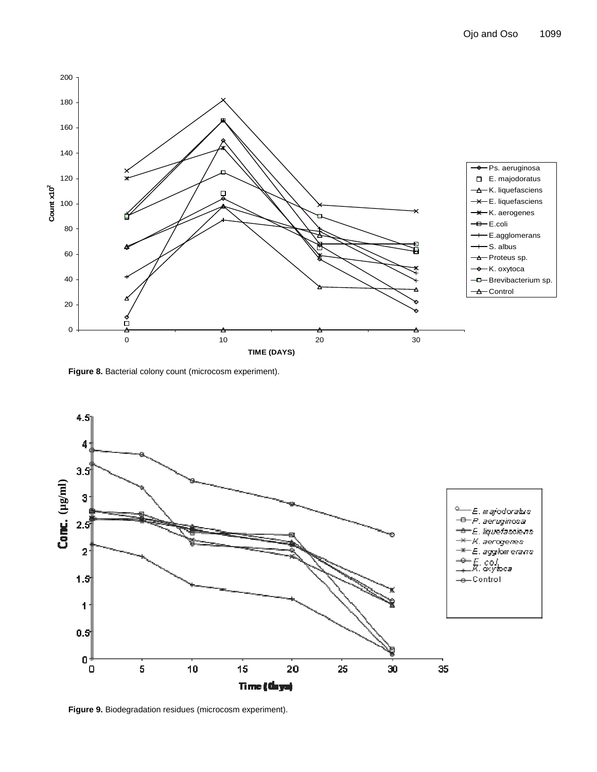

Figure 8. Bacterial colony count (microcosm experiment).



**Figure 9.** Biodegradation residues (microcosm experiment).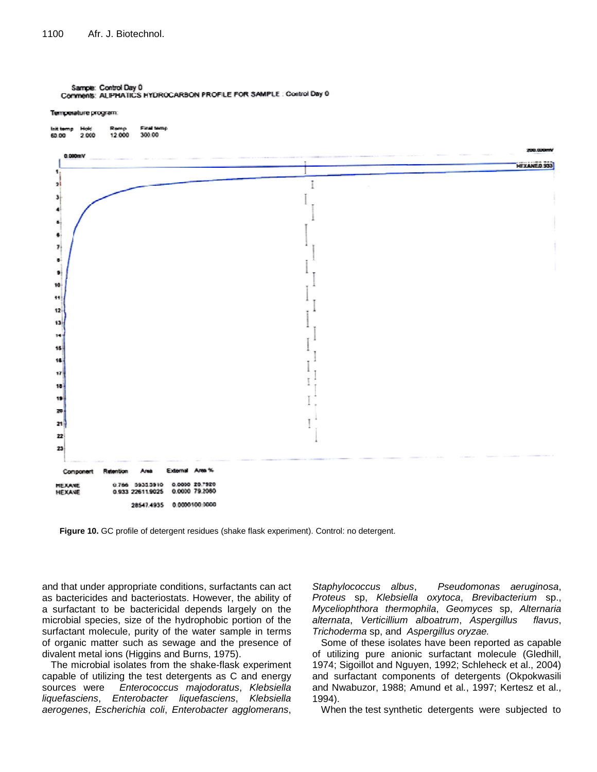Temperature program:



**Figure 10.** GC profile of detergent residues (shake flask experiment). Control: no detergent.

and that under appropriate conditions, surfactants can act as bactericides and bacteriostats. However, the ability of a surfactant to be bactericidal depends largely on the microbial species, size of the hydrophobic portion of the surfactant molecule, purity of the water sample in terms of organic matter such as sewage and the presence of divalent metal ions (Higgins and Burns, 1975).

The microbial isolates from the shake-flask experiment capable of utilizing the test detergents as C and energy sources were *Enterococcus majodoratus*, *Klebsiella liquefasciens*, *Enterobacter liquefasciens*, *Klebsiella aerogenes*, *Escherichia coli*, *Enterobacter agglomerans*,

*Staphylococcus albus*, *Pseudomonas aeruginosa*, *Proteus* sp, *Klebsiella oxytoca*, *Brevibacterium* sp., *Myceliophthora thermophila*, *Geomyces* sp, *Alternaria alternata*, *Verticillium alboatrum*, *Aspergillus flavus*, *Trichoderma* sp, and *Aspergillus oryzae.*

Some of these isolates have been reported as capable of utilizing pure anionic surfactant molecule (Gledhill, 1974; Sigoillot and Nguyen, 1992; Schleheck et al., 2004) and surfactant components of detergents (Okpokwasili and Nwabuzor, 1988; Amund et al*.*, 1997; Kertesz et al., 1994).

When the test synthetic detergents were subjected to

Sample: Control Day 0 Comments: ALIPHATICS HYDROCARBON PROFILE FOR SAMPLE : Control Day 0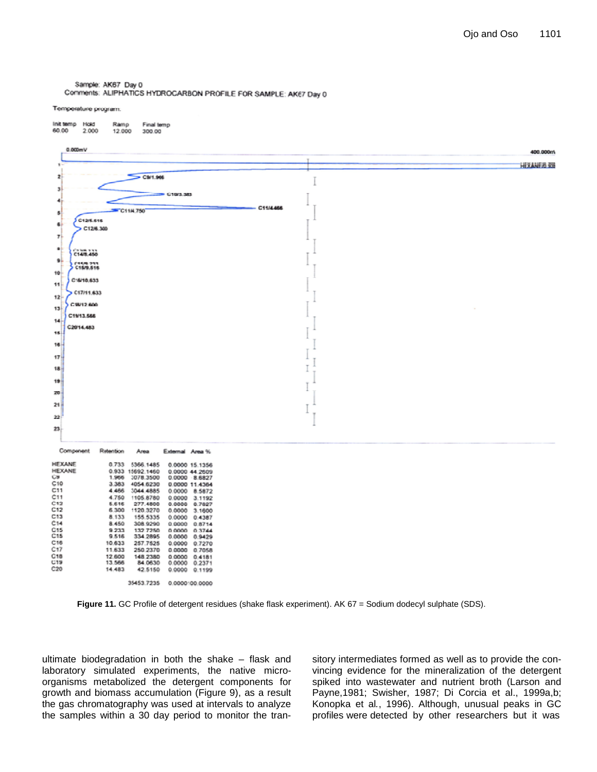Sample: AK67 Day 0 Comments: ALIPHATICS HYDROCARBON PROFILE FOR SAMPLE: AK67 Day 0

#### Temperature program:

| 0.000mV<br>400.000ml<br><b>HEXANER \$30</b><br>De CS/1.966<br><b>39 C10/3.383</b><br>C11/4466<br>C11N.750<br><b>C12/6.616</b><br>C12/6.300<br>C148.460<br>Cismons<br>C16/10.633<br>C17/11.633<br>C 98/12, 600<br>C1913.566<br>C2014.483<br>Retention<br>Area<br>External Area %<br>5366.1485<br>0.733<br>0.0000 15.1356<br>HEXANE<br>0.933 15692.1460<br>0.0000 44.2609<br>1,966<br>3078.3500<br>0.0000 8.6827<br>3.383<br>4054.6230<br>0.0000 11.4364<br>4.466<br>3044.4885<br>0.0000 8.5872<br>4.750<br>1105.8780<br>0.0000 3.1192<br>5.616<br>277.4600<br>0.0000<br>0.7027<br>6.300<br>1120.3270<br>$0.0000 - 3.1600$<br>8.133<br>155.5335<br>0.0000 0.4387<br>8.450<br>308.9290<br>0.0000 0.8714<br>9.233<br>132.7250<br>0.0000 0.3744<br>9.516<br>334.2895<br>0.0000 0.9429<br>10.633<br>257.7525<br>0.0000 0.7270<br>11,633<br>250.2370<br>0.0000<br>0.7058<br>12,600<br>148.2380<br>0.0000<br>0.4181<br>13,566<br>84.0630<br>0.0000<br>0.2371<br>14.483<br>42.5150<br>0.0000 0.1199 | linit temp Hold<br>Ramp<br>Final temp<br>60.00<br>2.000<br>12.000<br>300.00 |  |
|--------------------------------------------------------------------------------------------------------------------------------------------------------------------------------------------------------------------------------------------------------------------------------------------------------------------------------------------------------------------------------------------------------------------------------------------------------------------------------------------------------------------------------------------------------------------------------------------------------------------------------------------------------------------------------------------------------------------------------------------------------------------------------------------------------------------------------------------------------------------------------------------------------------------------------------------------------------------------------------------|-----------------------------------------------------------------------------|--|
|                                                                                                                                                                                                                                                                                                                                                                                                                                                                                                                                                                                                                                                                                                                                                                                                                                                                                                                                                                                            |                                                                             |  |
|                                                                                                                                                                                                                                                                                                                                                                                                                                                                                                                                                                                                                                                                                                                                                                                                                                                                                                                                                                                            |                                                                             |  |
|                                                                                                                                                                                                                                                                                                                                                                                                                                                                                                                                                                                                                                                                                                                                                                                                                                                                                                                                                                                            |                                                                             |  |
|                                                                                                                                                                                                                                                                                                                                                                                                                                                                                                                                                                                                                                                                                                                                                                                                                                                                                                                                                                                            |                                                                             |  |
|                                                                                                                                                                                                                                                                                                                                                                                                                                                                                                                                                                                                                                                                                                                                                                                                                                                                                                                                                                                            |                                                                             |  |
|                                                                                                                                                                                                                                                                                                                                                                                                                                                                                                                                                                                                                                                                                                                                                                                                                                                                                                                                                                                            |                                                                             |  |
|                                                                                                                                                                                                                                                                                                                                                                                                                                                                                                                                                                                                                                                                                                                                                                                                                                                                                                                                                                                            | 爆                                                                           |  |
|                                                                                                                                                                                                                                                                                                                                                                                                                                                                                                                                                                                                                                                                                                                                                                                                                                                                                                                                                                                            | 囐                                                                           |  |
|                                                                                                                                                                                                                                                                                                                                                                                                                                                                                                                                                                                                                                                                                                                                                                                                                                                                                                                                                                                            | 7                                                                           |  |
|                                                                                                                                                                                                                                                                                                                                                                                                                                                                                                                                                                                                                                                                                                                                                                                                                                                                                                                                                                                            | ٠                                                                           |  |
|                                                                                                                                                                                                                                                                                                                                                                                                                                                                                                                                                                                                                                                                                                                                                                                                                                                                                                                                                                                            | ğ.                                                                          |  |
|                                                                                                                                                                                                                                                                                                                                                                                                                                                                                                                                                                                                                                                                                                                                                                                                                                                                                                                                                                                            | 10                                                                          |  |
|                                                                                                                                                                                                                                                                                                                                                                                                                                                                                                                                                                                                                                                                                                                                                                                                                                                                                                                                                                                            | 11.                                                                         |  |
|                                                                                                                                                                                                                                                                                                                                                                                                                                                                                                                                                                                                                                                                                                                                                                                                                                                                                                                                                                                            |                                                                             |  |
|                                                                                                                                                                                                                                                                                                                                                                                                                                                                                                                                                                                                                                                                                                                                                                                                                                                                                                                                                                                            | 12                                                                          |  |
|                                                                                                                                                                                                                                                                                                                                                                                                                                                                                                                                                                                                                                                                                                                                                                                                                                                                                                                                                                                            | 13                                                                          |  |
|                                                                                                                                                                                                                                                                                                                                                                                                                                                                                                                                                                                                                                                                                                                                                                                                                                                                                                                                                                                            | 14                                                                          |  |
|                                                                                                                                                                                                                                                                                                                                                                                                                                                                                                                                                                                                                                                                                                                                                                                                                                                                                                                                                                                            | 18                                                                          |  |
|                                                                                                                                                                                                                                                                                                                                                                                                                                                                                                                                                                                                                                                                                                                                                                                                                                                                                                                                                                                            | 16                                                                          |  |
|                                                                                                                                                                                                                                                                                                                                                                                                                                                                                                                                                                                                                                                                                                                                                                                                                                                                                                                                                                                            | 17                                                                          |  |
|                                                                                                                                                                                                                                                                                                                                                                                                                                                                                                                                                                                                                                                                                                                                                                                                                                                                                                                                                                                            | 18                                                                          |  |
|                                                                                                                                                                                                                                                                                                                                                                                                                                                                                                                                                                                                                                                                                                                                                                                                                                                                                                                                                                                            | 19                                                                          |  |
|                                                                                                                                                                                                                                                                                                                                                                                                                                                                                                                                                                                                                                                                                                                                                                                                                                                                                                                                                                                            | 20                                                                          |  |
|                                                                                                                                                                                                                                                                                                                                                                                                                                                                                                                                                                                                                                                                                                                                                                                                                                                                                                                                                                                            | 21                                                                          |  |
|                                                                                                                                                                                                                                                                                                                                                                                                                                                                                                                                                                                                                                                                                                                                                                                                                                                                                                                                                                                            | $22 -$                                                                      |  |
|                                                                                                                                                                                                                                                                                                                                                                                                                                                                                                                                                                                                                                                                                                                                                                                                                                                                                                                                                                                            |                                                                             |  |
|                                                                                                                                                                                                                                                                                                                                                                                                                                                                                                                                                                                                                                                                                                                                                                                                                                                                                                                                                                                            | 23.                                                                         |  |
|                                                                                                                                                                                                                                                                                                                                                                                                                                                                                                                                                                                                                                                                                                                                                                                                                                                                                                                                                                                            |                                                                             |  |
|                                                                                                                                                                                                                                                                                                                                                                                                                                                                                                                                                                                                                                                                                                                                                                                                                                                                                                                                                                                            | Component                                                                   |  |
|                                                                                                                                                                                                                                                                                                                                                                                                                                                                                                                                                                                                                                                                                                                                                                                                                                                                                                                                                                                            | HEXANE                                                                      |  |
|                                                                                                                                                                                                                                                                                                                                                                                                                                                                                                                                                                                                                                                                                                                                                                                                                                                                                                                                                                                            | <b>CB</b>                                                                   |  |
|                                                                                                                                                                                                                                                                                                                                                                                                                                                                                                                                                                                                                                                                                                                                                                                                                                                                                                                                                                                            | C10<br>C11                                                                  |  |
|                                                                                                                                                                                                                                                                                                                                                                                                                                                                                                                                                                                                                                                                                                                                                                                                                                                                                                                                                                                            | C11                                                                         |  |
|                                                                                                                                                                                                                                                                                                                                                                                                                                                                                                                                                                                                                                                                                                                                                                                                                                                                                                                                                                                            | C12<br>C12                                                                  |  |
|                                                                                                                                                                                                                                                                                                                                                                                                                                                                                                                                                                                                                                                                                                                                                                                                                                                                                                                                                                                            | C13<br>C14                                                                  |  |
|                                                                                                                                                                                                                                                                                                                                                                                                                                                                                                                                                                                                                                                                                                                                                                                                                                                                                                                                                                                            | C15<br>C15                                                                  |  |
|                                                                                                                                                                                                                                                                                                                                                                                                                                                                                                                                                                                                                                                                                                                                                                                                                                                                                                                                                                                            | C16                                                                         |  |
|                                                                                                                                                                                                                                                                                                                                                                                                                                                                                                                                                                                                                                                                                                                                                                                                                                                                                                                                                                                            | C17<br>C18                                                                  |  |
|                                                                                                                                                                                                                                                                                                                                                                                                                                                                                                                                                                                                                                                                                                                                                                                                                                                                                                                                                                                            | CT9                                                                         |  |
|                                                                                                                                                                                                                                                                                                                                                                                                                                                                                                                                                                                                                                                                                                                                                                                                                                                                                                                                                                                            | C20                                                                         |  |
| 35453.7235<br>0.0000100.0000                                                                                                                                                                                                                                                                                                                                                                                                                                                                                                                                                                                                                                                                                                                                                                                                                                                                                                                                                               |                                                                             |  |

Figure 11. GC Profile of detergent residues (shake flask experiment). AK 67 = Sodium dodecyl sulphate (SDS).

ultimate biodegradation in both the shake – flask and laboratory simulated experiments, the native microorganisms metabolized the detergent components for growth and biomass accumulation (Figure 9), as a result the gas chromatography was used at intervals to analyze the samples within a 30 day period to monitor the transitory intermediates formed as well as to provide the convincing evidence for the mineralization of the detergent spiked into wastewater and nutrient broth (Larson and Payne,1981; Swisher, 1987; Di Corcia et al., 1999a,b; Konopka et al*.*, 1996). Although, unusual peaks in GC profiles were detected by other researchers but it was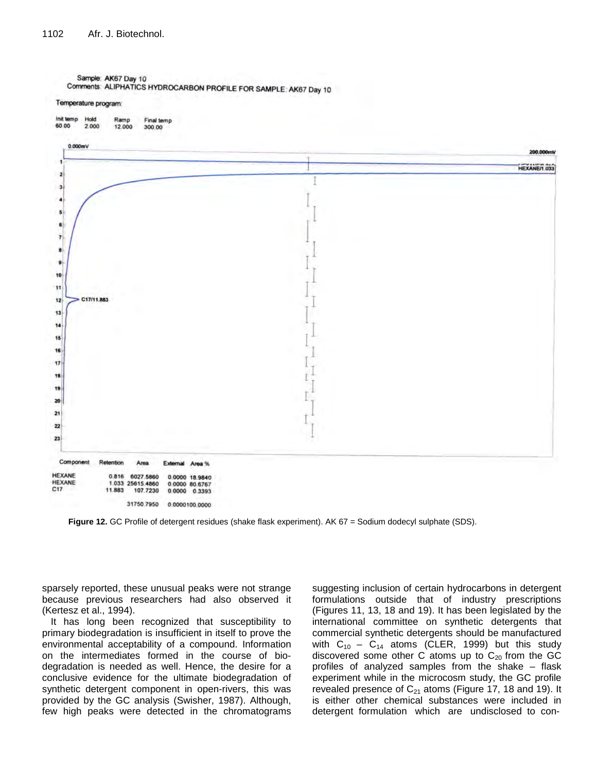Sample: AK67 Day 10 Comments: ALIPHATICS HYDROCARBON PROFILE FOR SAMPLE: AK67 Day 10





**Figure 12.** GC Profile of detergent residues (shake flask experiment). AK 67 = Sodium dodecyl sulphate (SDS).

sparsely reported, these unusual peaks were not strange because previous researchers had also observed it (Kertesz et al., 1994).

It has long been recognized that susceptibility to primary biodegradation is insufficient in itself to prove the environmental acceptability of a compound. Information on the intermediates formed in the course of biodegradation is needed as well. Hence, the desire for a conclusive evidence for the ultimate biodegradation of synthetic detergent component in open-rivers, this was provided by the GC analysis (Swisher, 1987). Although, few high peaks were detected in the chromatograms suggesting inclusion of certain hydrocarbons in detergent formulations outside that of industry prescriptions (Figures 11, 13, 18 and 19). It has been legislated by the international committee on synthetic detergents that commercial synthetic detergents should be manufactured with  $C_{10} - C_{14}$  atoms (CLER, 1999) but this study discovered some other C atoms up to  $C_{20}$  from the GC profiles of analyzed samples from the shake – flask experiment while in the microcosm study, the GC profile revealed presence of  $C_{21}$  atoms (Figure 17, 18 and 19). It is either other chemical substances were included in detergent formulation which are undisclosed to con-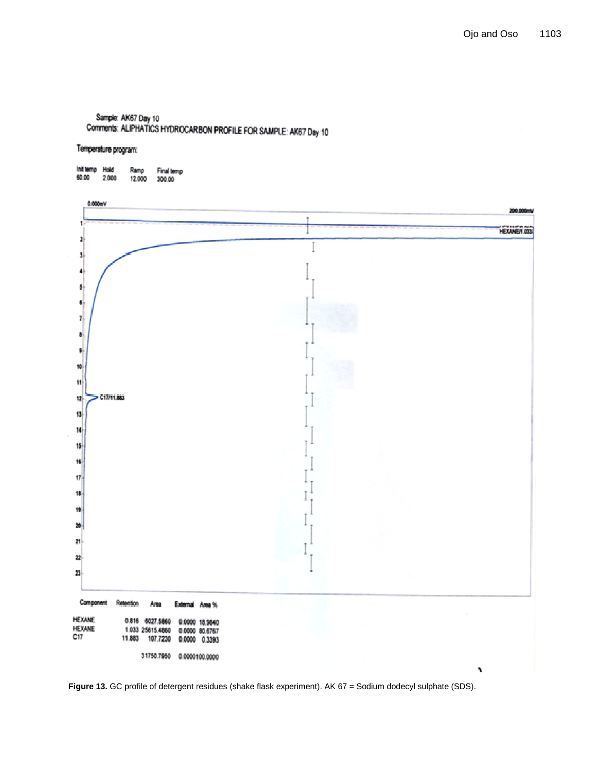# Sample: AK67 Day 10 Comments: ALIPHATICS HYDROCARBON PROFILE FOR SAMPLE: AK67 Day 10

# Temperature program:

| Init temp | <b>Holid</b> | Ramp   | Final temp |
|-----------|--------------|--------|------------|
| 60.00     | 2.000        | 12.000 | 300.00     |



Figure 13. GC profile of detergent residues (shake flask experiment). AK 67 = Sodium dodecyl sulphate (SDS).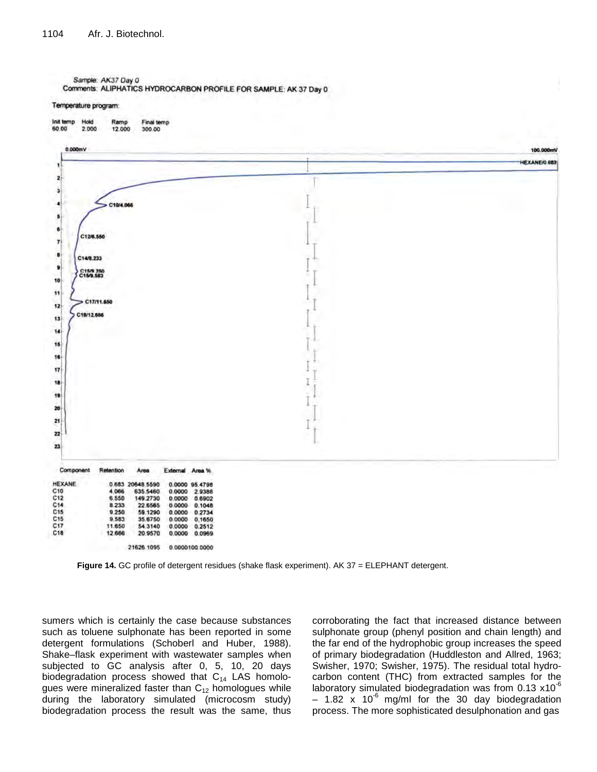#### Temperature program:



**Figure 14.** GC profile of detergent residues (shake flask experiment). AK 37 = ELEPHANT detergent.

sumers which is certainly the case because substances such as toluene sulphonate has been reported in some detergent formulations (Schoberl and Huber, 1988). Shake–flask experiment with wastewater samples when subjected to GC analysis after 0, 5, 10, 20 days biodegradation process showed that  $C_{14}$  LAS homologues were mineralized faster than  $C_{12}$  homologues while during the laboratory simulated (microcosm study) biodegradation process the result was the same, thus

corroborating the fact that increased distance between sulphonate group (phenyl position and chain length) and the far end of the hydrophobic group increases the speed of primary biodegradation (Huddleston and Allred, 1963; Swisher, 1970; Swisher, 1975). The residual total hydrocarbon content (THC) from extracted samples for the laboratory simulated biodegradation was from  $0.13 \times 10^{-6}$  $-$  1.82 x 10<sup>-6</sup> mg/ml for the 30 day biodegradation process. The more sophisticated desulphonation and gas

Sample: AK37 Day 0 Comments: ALIPHATICS HYDROCARBON PROFILE FOR SAMPLE: AK 37 Day 0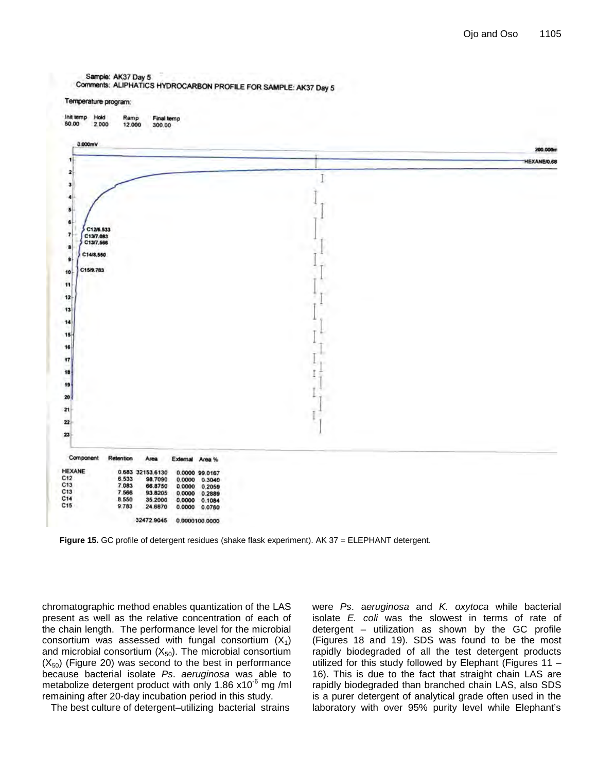Sample: AK37 Day 5

Comments: ALIPHATICS HYDROCARBON PROFILE FOR SAMPLE: AK37 Day 5

Temperature program:



**Figure 15.** GC profile of detergent residues (shake flask experiment). AK 37 = ELEPHANT detergent.

chromatographic method enables quantization of the LAS present as well as the relative concentration of each of the chain length. The performance level for the microbial consortium was assessed with fungal consortium  $(X_1)$ and microbial consortium  $(X_{50})$ . The microbial consortium  $(X_{50})$  (Figure 20) was second to the best in performance because bacterial isolate *Ps*. *aeruginosa* was able to metabolize detergent product with only 1.86  $x10^{-6}$  mg/ml remaining after 20-day incubation period in this study.

The best culture of detergent–utilizing bacterial strains

were *Ps*. a*eruginosa* and *K. oxytoca* while bacterial isolate *E. coli* was the slowest in terms of rate of detergent – utilization as shown by the GC profile (Figures 18 and 19). SDS was found to be the most rapidly biodegraded of all the test detergent products utilized for this study followed by Elephant (Figures 11 – 16). This is due to the fact that straight chain LAS are rapidly biodegraded than branched chain LAS, also SDS is a purer detergent of analytical grade often used in the laboratory with over 95% purity level while Elephant's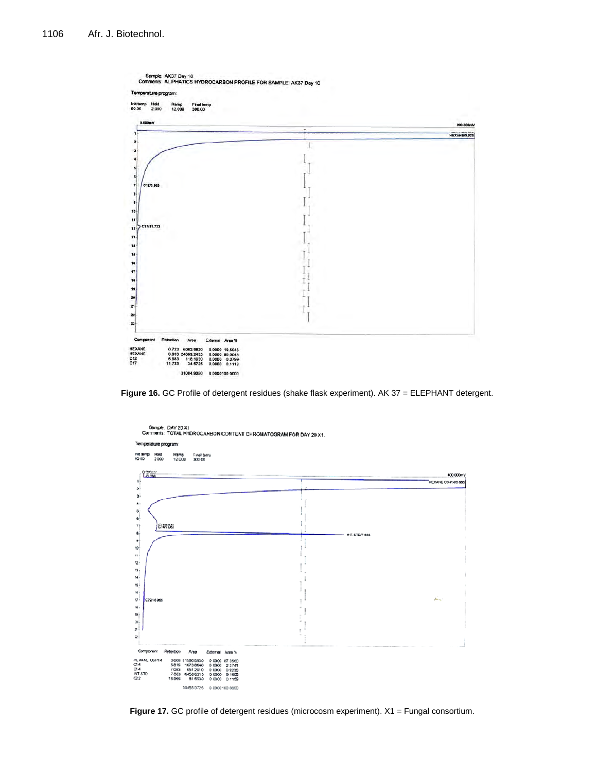

**Figure 16.** GC Profile of detergent residues (shake flask experiment). AK 37 = ELEPHANT detergent.



Figure 17. GC profile of detergent residues (microcosm experiment). X1 = Fungal consortium.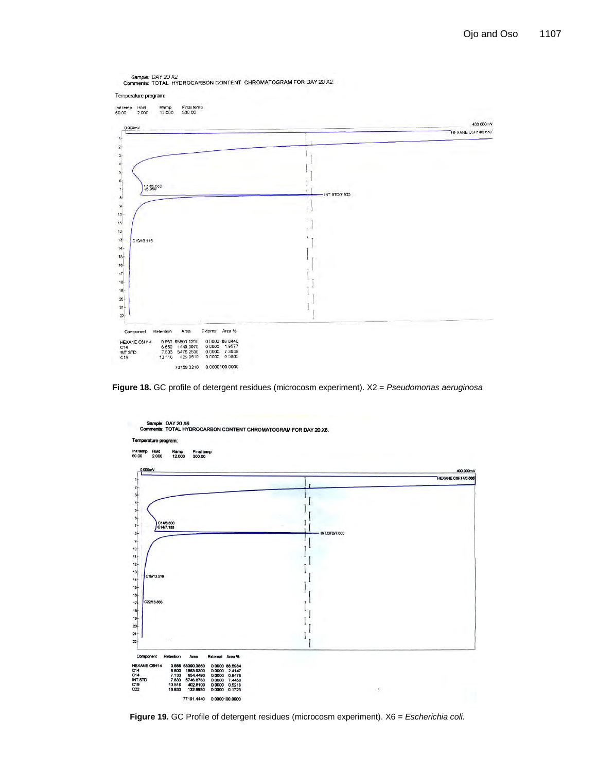

**Figure 18.** GC profile of detergent residues (microcosm experiment). X2 = *Pseudomonas aeruginosa*



**Figure 19.** GC Profile of detergent residues (microcosm experiment). X6 = *Escherichia coli.*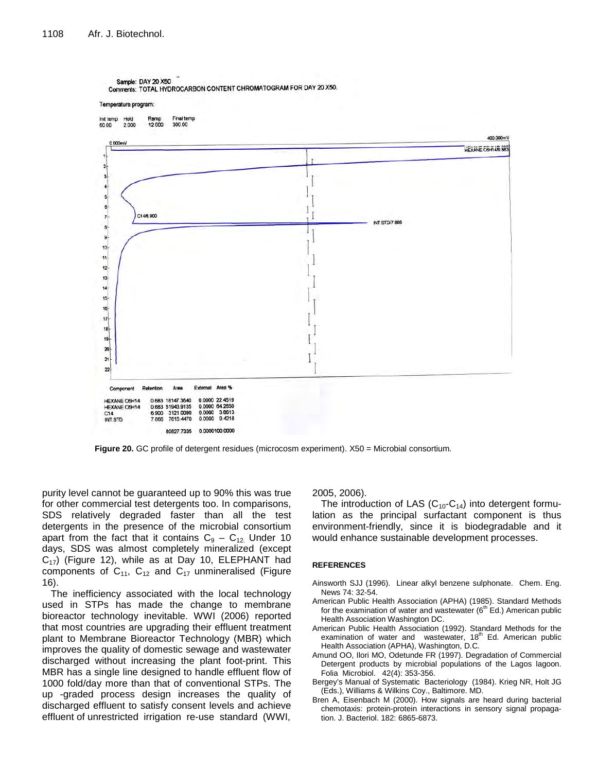

**Figure 20.** GC profile of detergent residues (microcosm experiment). X50 = Microbial consortium*.*

purity level cannot be guaranteed up to 90% this was true for other commercial test detergents too. In comparisons, SDS relatively degraded faster than all the test detergents in the presence of the microbial consortium apart from the fact that it contains  $C_9 - C_{12}$ . Under 10 days, SDS was almost completely mineralized (except  $C_{17}$ ) (Figure 12), while as at Day 10, ELEPHANT had components of  $C_{11}$ ,  $C_{12}$  and  $C_{17}$  unmineralised (Figure 16).

The inefficiency associated with the local technology used in STPs has made the change to membrane bioreactor technology inevitable. WWI (2006) reported that most countries are upgrading their effluent treatment plant to Membrane Bioreactor Technology (MBR) which improves the quality of domestic sewage and wastewater discharged without increasing the plant foot-print. This MBR has a single line designed to handle effluent flow of 1000 fold/day more than that of conventional STPs. The up -graded process design increases the quality of discharged effluent to satisfy consent levels and achieve effluent of unrestricted irrigation re-use standard (WWI,

2005, 2006).

The introduction of LAS  $(C_{10}-C_{14})$  into detergent formulation as the principal surfactant component is thus environment-friendly, since it is biodegradable and it would enhance sustainable development processes.

#### **REFERENCES**

- Ainsworth SJJ (1996). Linear alkyl benzene sulphonate. Chem. Eng. News 74: 32-54.
- American Public Health Association (APHA) (1985). Standard Methods for the examination of water and wastewater  $(6<sup>th</sup> Ed.)$  American public Health Association Washington DC.
- American Public Health Association (1992). Standard Methods for the examination of water and wastewater, 18<sup>th</sup> Ed. American public Health Association (APHA), Washington, D.C.
- Amund OO, Ilori MO, Odetunde FR (1997). Degradation of Commercial Detergent products by microbial populations of the Lagos lagoon. Folia Microbiol. 42(4): 353-356.
- Bergey's Manual of Systematic Bacteriology (1984). Krieg NR, Holt JG (Eds.), Williams & Wilkins Coy., Baltimore. MD.
- Bren A, Eisenbach M (2000). How signals are heard during bacterial chemotaxis: protein-protein interactions in sensory signal propagation. J. Bacteriol. 182: 6865-6873.